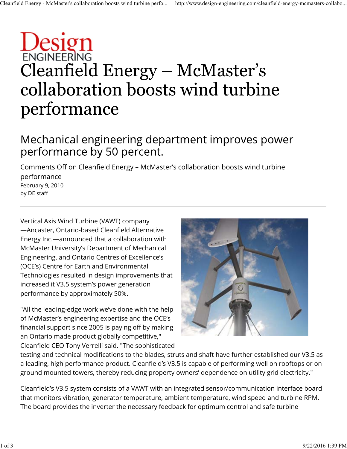## Design Cleanfield Energy – McMaster's collaboration boosts wind turbine performance

## Mechanical engineering department improves power performance by 50 percent.

Comments Off on Cleanfield Energy – McMaster's collaboration boosts wind turbine performance February 9, 2010

Vertical Axis Wind Turbine (VAWT) company —Ancaster, Ontario-based Cleanfield Alternative Energy Inc.—announced that a collaboration with McMaster University's Department of Mechanical Engineering, and Ontario Centres of Excellence's (OCE's) Centre for Earth and Environmental Technologies resulted in design improvements that increased it V3.5 system's power generation performance by approximately 50%.

by DE staff

"All the leading-edge work we've done with the help of McMaster's engineering expertise and the OCE's financial support since 2005 is paying off by making an Ontario made product globally competitive," Cleanfield CEO Tony Verrelli said. "The sophisticated



testing and technical modifications to the blades, struts and shaft have further established our V3.5 as a leading, high performance product. Cleanfield's V3.5 is capable of performing well on rooftops or on ground mounted towers, thereby reducing property owners' dependence on utility grid electricity."

Cleanfield's V3.5 system consists of a VAWT with an integrated sensor/communication interface board that monitors vibration, generator temperature, ambient temperature, wind speed and turbine RPM. The board provides the inverter the necessary feedback for optimum control and safe turbine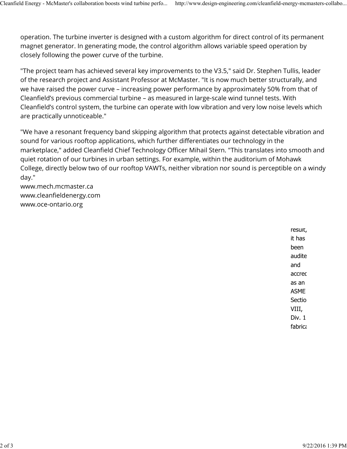operation. The turbine inverter is designed with a custom algorithm for direct control of its permanent magnet generator. In generating mode, the control algorithm allows variable speed operation by closely following the power curve of the turbine.

"The project team has achieved several key improvements to the V3.5," said Dr. Stephen Tullis, leader of the research project and Assistant Professor at McMaster. "It is now much better structurally, and we have raised the power curve – increasing power performance by approximately 50% from that of Cleanfield's previous commercial turbine – as measured in large-scale wind tunnel tests. With Cleanfield's control system, the turbine can operate with low vibration and very low noise levels which are practically unnoticeable."

"We have a resonant frequency band skipping algorithm that protects against detectable vibration and sound for various rooftop applications, which further differentiates our technology in the marketplace," added Cleanfield Chief Technology Officer Mihail Stern. "This translates into smooth and quiet rotation of our turbines in urban settings. For example, within the auditorium of Mohawk College, directly below two of our rooftop VAWTs, neither vibration nor sound is perceptible on a windy day."

www.mech.mcmaster.ca www.cleanfieldenergy.com www.oce-ontario.org

> result, it has been audite and accred as an ASME Sectio VIII, Div. 1 fabrica